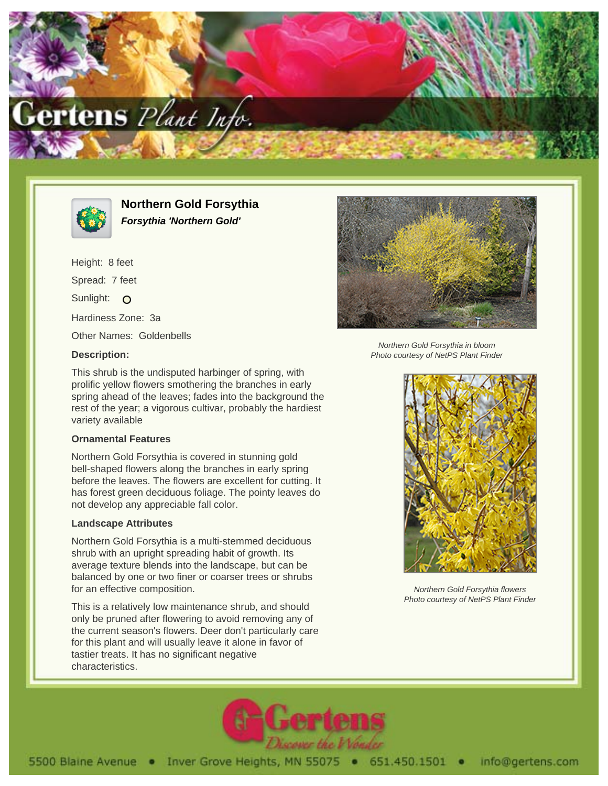



**Northern Gold Forsythia Forsythia 'Northern Gold'**

This shrub is the undisputed harbinger of spring, with prolific yellow flowers smothering the branches in early spring ahead of the leaves; fades into the background the rest of the year; a vigorous cultivar, probably the hardiest

Northern Gold Forsythia is covered in stunning gold bell-shaped flowers along the branches in early spring before the leaves. The flowers are excellent for cutting. It has forest green deciduous foliage. The pointy leaves do

Northern Gold Forsythia is a multi-stemmed deciduous shrub with an upright spreading habit of growth. Its average texture blends into the landscape, but can be balanced by one or two finer or coarser trees or shrubs

This is a relatively low maintenance shrub, and should only be pruned after flowering to avoid removing any of the current season's flowers. Deer don't particularly care for this plant and will usually leave it alone in favor of

tastier treats. It has no significant negative

not develop any appreciable fall color.

Height: 8 feet Spread: 7 feet Sunlight: O Hardiness Zone: 3a Other Names: Goldenbells

## **Description:**

variety available

**Ornamental Features**

**Landscape Attributes**

for an effective composition.

characteristics.

Northern Gold Forsythia in bloom Photo courtesy of NetPS Plant Finder

Northern Gold Forsythia flowers Photo courtesy of NetPS Plant Finder